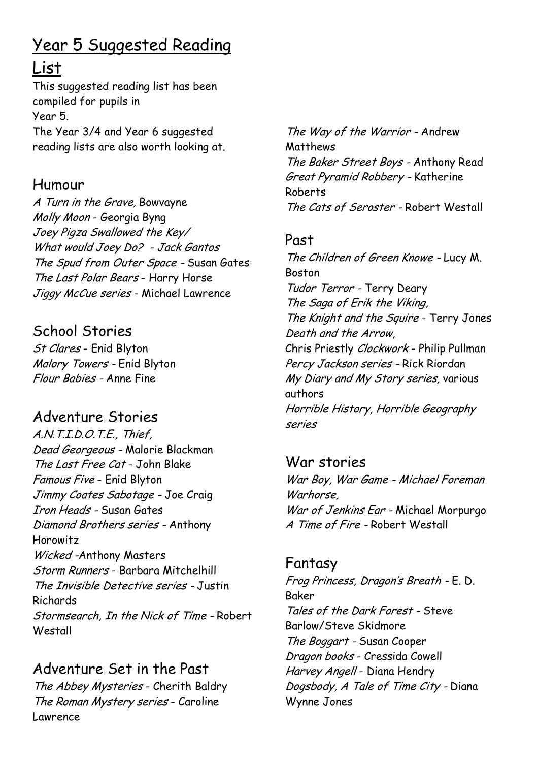# Year 5 Suggested Reading

## List

This suggested reading list has been compiled for pupils in Year 5. The Year 3/4 and Year 6 suggested reading lists are also worth looking at.

### Humour

A Turn in the Grave, Bowvayne Molly Moon - Georgia Byng Joey Pigza Swallowed the Key/ What would Joey Do? - Jack Gantos The Spud from Outer Space - Susan Gates The Last Polar Bears - Harry Horse Jiggy McCue series - Michael Lawrence

## School Stories

St Clares - Enid Blyton Malory Towers - Enid Blyton Flour Babies - Anne Fine

## Adventure Stories

A.N.T.I.D.O.T.E., Thief, Dead Georgeous - Malorie Blackman The Last Free Cat - John Blake Famous Five - Enid Blyton Jimmy Coates Sabotage - Joe Craig Iron Heads - Susan Gates Diamond Brothers series - Anthony Horowitz Wicked -Anthony Masters Storm Runners - Barbara Mitchelhill The Invisible Detective series - Justin Richards Stormsearch, In the Nick of Time - Robert **Westall** 

## Adventure Set in the Past

The Abbey Mysteries - Cherith Baldry The Roman Mystery series - Caroline Lawrence

The Way of the Warrior - Andrew Matthews The Baker Street Boys - Anthony Read Great Pyramid Robbery - Katherine Roberts The Cats of Seroster - Robert Westall

#### Past

The Children of Green Knowe - Lucy M. Boston Tudor Terror - Terry Deary The Saga of Erik the Viking, The Knight and the Squire - Terry Jones Death and the Arrow, Chris Priestly Clockwork - Philip Pullman Percy Jackson series - Rick Riordan My Diary and My Story series, various authors Horrible History, Horrible Geography series

War stories War Boy, War Game - Michael Foreman Warhorse, War of Jenkins Ear - Michael Morpurgo A Time of Fire - Robert Westall

# Fantasy

Frog Princess, Dragon's Breath - E. D. Baker Tales of the Dark Forest - Steve Barlow/Steve Skidmore The Boggart - Susan Cooper Dragon books - Cressida Cowell Harvey Angell - Diana Hendry Dogsbody, A Tale of Time City - Diana Wynne Jones